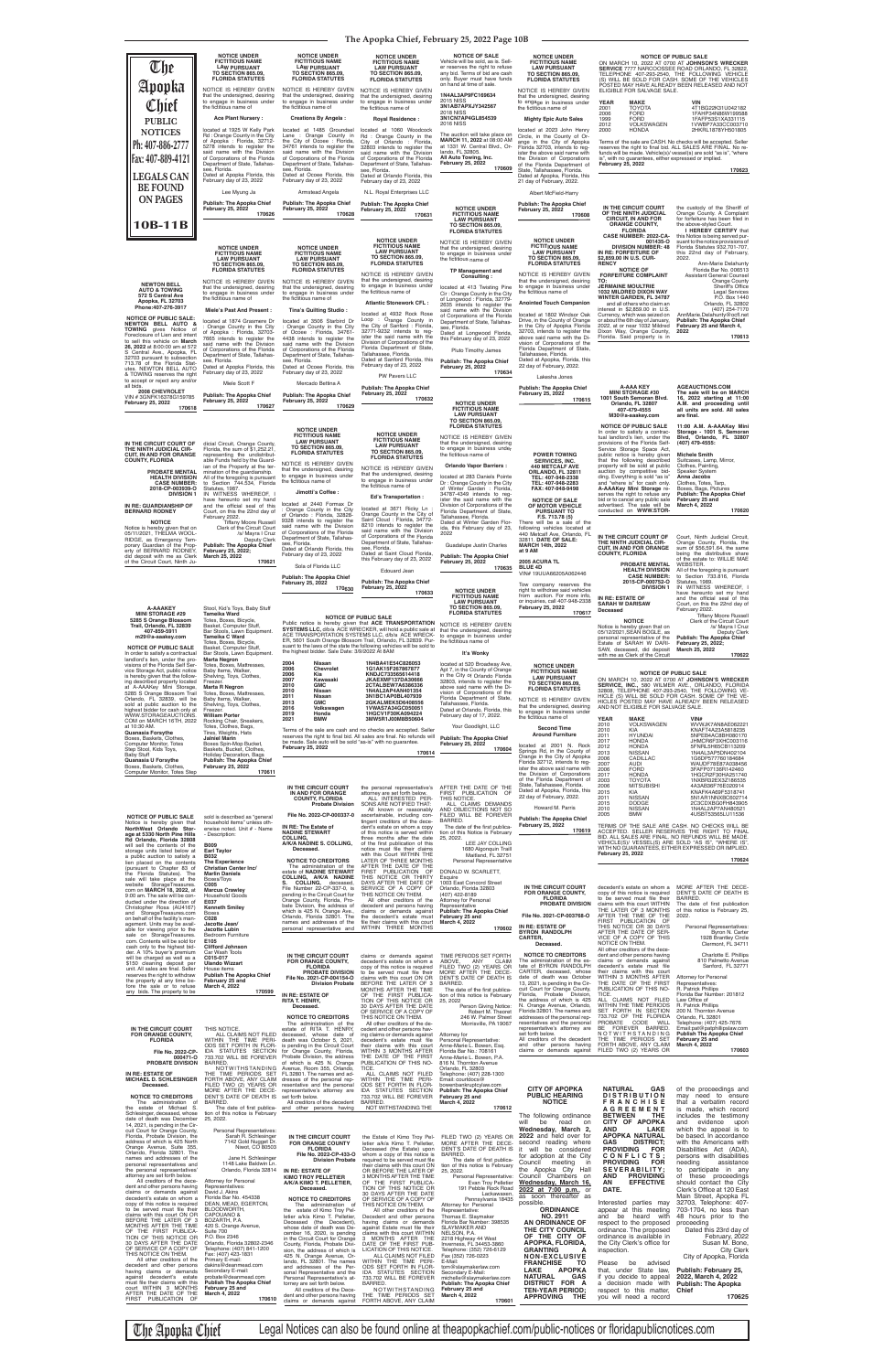**The Apopka Chief, February 25, 2022 Page 10B**

| $\mathbb{U}$ he                                                                                                                                                                                                                                                                                                                                                                                                                                     | <b>NOTICE UNDER</b><br><b>FICTITIOUS NAME</b><br><b>LAW PURSUANT</b><br><b>TO SECTION 865.09.</b><br><b>FLORIDA STATUTES</b>                                                                                                                                                                                                                                                                                                                                                                                                                                                           | <b>NOTICE UNDER</b><br><b>FICTITIOUS NAME</b><br><b>LAW PURSUANT</b><br><b>TO SECTION 865.09.</b><br><b>FLORIDA STATUTES</b>                                                                                                                                                                                                                                                                                                                                                                                                                            | <b>NOTICE UNDER</b><br><b>FICTITIOUS NAME</b><br><b>LAW PURSUANT</b><br><b>TO SECTION 865.09.</b><br><b>FLORIDA STATUTES</b>                                                                                                                                                                                                                                                                                                                                                                                                | <b>NOTICE OF SALE</b><br>Vehicle will be sold, as is. Sell-<br>er reserves the right to refuse<br>any bid. Terms of bid are cash<br>only. Buyer must have funds<br>on hand at time of sale.                                                                                                                                                                                                                                                                                                                                                                                                        | <b>NOTICE UNDER</b><br><b>FICTITIOUS NAME</b><br><b>LAW PURSUANT</b><br><b>TO SECTION 865.09.</b><br><b>FLORIDA STATUTES</b>                                                                                                                                                                                                                                                                                       | SERVICE 7777 NARCOOSSEE ROAD ORLANDO, FL 32822,<br>TELEPHONE 407-293-2540, THE FOLLOWING VEHICLE<br>(S) WILL BE SOLD FOR CASH. SOME OF THE VEHICLES                                                                                                                                                                                                                                                                                                                                                                                                                                                                                                                 | <b>NOTICE OF PUBLIC SALE</b><br>ON MARCH 10, 2022 AT 0700 AT JOHNSON'S WRECKER                                                                                                                                                                                                                                                                                                                                                                                                                 |
|-----------------------------------------------------------------------------------------------------------------------------------------------------------------------------------------------------------------------------------------------------------------------------------------------------------------------------------------------------------------------------------------------------------------------------------------------------|----------------------------------------------------------------------------------------------------------------------------------------------------------------------------------------------------------------------------------------------------------------------------------------------------------------------------------------------------------------------------------------------------------------------------------------------------------------------------------------------------------------------------------------------------------------------------------------|---------------------------------------------------------------------------------------------------------------------------------------------------------------------------------------------------------------------------------------------------------------------------------------------------------------------------------------------------------------------------------------------------------------------------------------------------------------------------------------------------------------------------------------------------------|-----------------------------------------------------------------------------------------------------------------------------------------------------------------------------------------------------------------------------------------------------------------------------------------------------------------------------------------------------------------------------------------------------------------------------------------------------------------------------------------------------------------------------|----------------------------------------------------------------------------------------------------------------------------------------------------------------------------------------------------------------------------------------------------------------------------------------------------------------------------------------------------------------------------------------------------------------------------------------------------------------------------------------------------------------------------------------------------------------------------------------------------|--------------------------------------------------------------------------------------------------------------------------------------------------------------------------------------------------------------------------------------------------------------------------------------------------------------------------------------------------------------------------------------------------------------------|---------------------------------------------------------------------------------------------------------------------------------------------------------------------------------------------------------------------------------------------------------------------------------------------------------------------------------------------------------------------------------------------------------------------------------------------------------------------------------------------------------------------------------------------------------------------------------------------------------------------------------------------------------------------|------------------------------------------------------------------------------------------------------------------------------------------------------------------------------------------------------------------------------------------------------------------------------------------------------------------------------------------------------------------------------------------------------------------------------------------------------------------------------------------------|
| Apopka<br>Chief                                                                                                                                                                                                                                                                                                                                                                                                                                     | NOTICE IS HEREBY GIVEN<br>that the undersigned, desiring<br>to engage in business under<br>the fictitious name of<br><b>Ace Plant Nursery:</b>                                                                                                                                                                                                                                                                                                                                                                                                                                         | NOTICE IS HEREBY GIVEN<br>that the undersigned, desiring<br>to engage in business under<br>the fictitious name of<br><b>Creations By Angela:</b>                                                                                                                                                                                                                                                                                                                                                                                                        | NOTICE IS HEREBY GIVEN<br>that the undersigned, desiring<br>to engage in business under<br>the fictitious name of                                                                                                                                                                                                                                                                                                                                                                                                           | 1N4AL3AP9FC169634<br><b>2015 NISS</b><br>3N1AB7APXJY342567<br><b>2018 NISS</b><br>3N1CN7AP4GL854539                                                                                                                                                                                                                                                                                                                                                                                                                                                                                                | NOTICE IS HEREBY GIVEN<br>that the undersigned, desiring<br>to engage in business under<br>the fictitious name of                                                                                                                                                                                                                                                                                                  | ELIGIBLE FOR SALVAGE SALE.<br><b>YEAR</b><br><b>MAKE</b><br>2001<br><b>TOYOTA</b><br><b>FORD</b><br>2006                                                                                                                                                                                                                                                                                                                                                                                                                                                                                                                                                            | POSTED MAY HAVE ALREADY BEEN RELEASED AND NOT<br>VIN<br>4T1BG22K31U042182<br>1FAHP34N86W199588                                                                                                                                                                                                                                                                                                                                                                                                 |
| <b>PUBLIC</b><br><b>NOTICES</b><br>Ph: 407-886-2777<br>Fax: 407-889-4121<br><b>LEGALS CAN</b>                                                                                                                                                                                                                                                                                                                                                       | located at 1925 W Kelly Park<br>Rd: Orange County in the City<br>of Apopka : Florida, 32712-<br>5278 intends to register the<br>said name with the Division<br>of Corporations of the Florida<br>Department of State, Tallahas-<br>see, Florida.<br>Dated at Apopka Florida, this<br>February day of 23, 2022                                                                                                                                                                                                                                                                          | located at 1485 Groundsel<br>Lane: Orange County in<br>the City of Ocoee : Florida,<br>34761 intends to register the<br>said name with the Division<br>of Corporations of the Florida<br>Department of State, Tallahas-<br>see. Florida.<br>Dated at Ocoee Florida, this<br>February day of 23, 2022                                                                                                                                                                                                                                                    | <b>Royal Residence:</b><br>located at 1060 Woodcock<br>Rd : Orange County in the<br>City of Orlando : Florida,<br>32803 intends to register the<br>said name with the Division<br>of Corporations of the Florida<br>Department of State, Tallahas-<br>see, Florida.<br>Dated at Orlando Florida, this<br>February day of 23, 2022                                                                                                                                                                                           | <b>2016 NISS</b><br>The auction will take place on<br>MARCH 11, 2022 at 08:00 AM<br>at 1331 W. Central Blvd., Or-<br>lando, FL 32805.<br>All Auto Towing, Inc.<br><b>February 25, 2022</b><br>170609                                                                                                                                                                                                                                                                                                                                                                                               | <b>Mighty Epic Auto Sales</b><br>located at 2023 John Henry<br>Circle, in the County of Or-<br>ange in the City of Apopka<br>Florida 32703, intends to reg-<br>ister the above said name with<br>the Division of Corporations<br>of the Florida Department of<br>State, Tallahassee, Florida.<br>Dated at Apopka, Florida, this<br>21 day of February, 2022.                                                       | 1999<br><b>FORD</b><br>2012<br><b>VOLKSWAGEN</b><br>2000<br><b>HONDA</b><br>Terms of the sale are CASH. No checks will be accepted. Seller<br>reserves the right to final bid. ALL SALES ARE FINAL. No re-<br>is", with no guarantees, either expressed or implied.<br><b>February 25, 2022</b>                                                                                                                                                                                                                                                                                                                                                                     | 1FAFP53S1XA331115<br>1VWBP7A33CC003710<br>2HKRL1878YH501805<br>funds will be made. Vehicle(s)/ vessel(s) are sold "as is", "where<br>170623                                                                                                                                                                                                                                                                                                                                                    |
| <b>BE FOUND</b><br><b>ON PAGES</b>                                                                                                                                                                                                                                                                                                                                                                                                                  | Lee Myung Ja<br><b>Publish: The Apopka Chief</b><br><b>February 25, 2022</b><br>170626                                                                                                                                                                                                                                                                                                                                                                                                                                                                                                 | Armstead Angela<br><b>Publish: The Apopka Chief</b><br><b>February 25, 2022</b><br>170628                                                                                                                                                                                                                                                                                                                                                                                                                                                               | N.L. Royal Enterprises LLC<br><b>Publish: The Apopka Chief</b><br><b>February 25, 2022</b><br>170631                                                                                                                                                                                                                                                                                                                                                                                                                        | <b>NOTICE UNDER</b><br><b>FICTITIOUS NAME</b>                                                                                                                                                                                                                                                                                                                                                                                                                                                                                                                                                      | Albert McField-Harry<br><b>Publish: The Apopka Chief</b><br><b>February 25, 2022</b><br>170608                                                                                                                                                                                                                                                                                                                     | IN THE CIRCUIT COURT<br>OF THE NINTH JUDICIAL<br><b>CIRCUIT, IN AND FOR</b>                                                                                                                                                                                                                                                                                                                                                                                                                                                                                                                                                                                         | the custody of the Sheriff of<br>Orange County. A Complaint<br>for forfeiture has been filed in                                                                                                                                                                                                                                                                                                                                                                                                |
| 10B-11B                                                                                                                                                                                                                                                                                                                                                                                                                                             | <b>NOTICE UNDER</b><br><b>FICTITIOUS NAME</b><br><b>LAW PURSUANT</b><br><b>TO SECTION 865.09.</b><br><b>FLORIDA STATUTES</b>                                                                                                                                                                                                                                                                                                                                                                                                                                                           | <b>NOTICE UNDER</b><br><b>FICTITIOUS NAME</b><br><b>LAW PURSUANT</b><br>TO SECTION 865.09,<br><b>FLORIDA STATUTES</b>                                                                                                                                                                                                                                                                                                                                                                                                                                   | <b>NOTICE UNDER</b><br><b>FICTITIOUS NAME</b><br><b>LAW PURSUANT</b><br><b>TO SECTION 865.09.</b><br><b>FLORIDA STATUTES</b>                                                                                                                                                                                                                                                                                                                                                                                                | <b>LAW PURSUANT</b><br><b>TO SECTION 865.09,</b><br><b>FLORIDA STATUTES</b><br>NOTICE IS HEREBY GIVEN<br>that the undersigned, desiring<br>to engage in business under<br>the fictitious name of<br><b>TP Management and</b>                                                                                                                                                                                                                                                                                                                                                                       | <b>NOTICE UNDER</b><br><b>FICTITIOUS NAME</b><br><b>LAW PURSUANT</b><br><b>TO SECTION 865.09,</b><br><b>FLORIDA STATUTES</b>                                                                                                                                                                                                                                                                                       | <b>ORANGE COUNTY,</b><br><b>FLORIDA</b><br>CASE NUMBER: 2022-CA-<br>001435-O<br><b>DIVISION NUMBER: 48</b><br>IN RE: FORFEITURE OF<br>\$2,859.00 IN U.S. CUR-<br><b>RENCY</b><br><b>NOTICE OF</b>                                                                                                                                                                                                                                                                                                                                                                                                                                                                   | the above-styled Court.<br>I HEREBY CERTIFY that<br>this Notice is being served pur-<br>suant to the notice provisions of<br>Florida Statutes 932.701-707,<br>this 22nd day of February,<br>2022.<br>Ann-Marie Delahunty<br>Florida Bar No. 006513                                                                                                                                                                                                                                             |
| <b>NEWTON BELL</b><br><b>AUTO &amp; TOWING</b><br>572 S Central Ave<br>Apopka, FL 32703<br>Phone: 407-276-3917<br><b>NOTICE OF PUBLIC SALE:</b><br><b>NEWTON BELL AUTO &amp;</b><br><b>TOWING</b> gives Notice of<br>Foreclosure of Lien and intent<br>to sell this vehicle on March<br>26, 2022 at 8:00:00 am at 572<br>S Central Ave., Apopka, FL<br>32703 pursuant to subsection                                                                 | NOTICE IS HEREBY GIVEN<br>that the undersigned, desiring<br>to engage in business under<br>the fictitious name of<br>Miele's Past And Present :<br>located at 1874 Grasmere Dr<br>Orange County in the City<br>of Apopka : Florida, 32703-<br>7665 intends to register the<br>said name with the Division<br>of Corporations of the Florida<br>Department of State, Tallahas-                                                                                                                                                                                                          | NOTICE IS HEREBY GIVEN<br>that the undersigned, desiring<br>to engage in business under<br>the fictitious name of<br>Tina's Quilting Studio:<br>located at 3506 Starbird Dr<br>: Orange County in the City<br>of Ocoee : Florida, 34761-<br>4438 intends to register the<br>said name with the Division<br>of Corporations of the Florida<br>Department of State, Tallahas-                                                                                                                                                                             | NOTICE IS HEREBY GIVEN<br>that the undersigned, desiring<br>to engage in business under<br>the fictitious name of<br><b>Atlantic Stonework CFL:</b><br>located at 4932 Rock Rose<br>Loop : Orange County in<br>the City of Sanford: Florida,<br>32771-9232 intends to reg-<br>ister the said name with the<br>Division of Corporations of the<br>Florida Department of State,<br>Tallahassee, Florida.                                                                                                                      | Consulting:<br>located at 413 Twisting Pine<br>Cir: Orange County in the City<br>of Longwood: Florida, 32779-<br>2635 intends to register the<br>said name with the Division<br>of Corporations of the Florida<br>Department of State, Tallahas-<br>see, Florida.<br>Dated at Longwood Florida,<br>this February day of 23, 2022<br><b>Pluto Timothy James</b>                                                                                                                                                                                                                                     | NOTICE IS HEREBY GIVEN<br>that the undersigned, desiring<br>to engage in business under<br>the fictitious name of<br><b>Anointed Touch Companion</b><br>located at 1802 Windsor Oak<br>Drive, in the County of Orange<br>in the City of Apopka Florida<br>32703, intends to register the<br>above said name with the Di-<br>vision of Corporations of the<br>Florida Department of State,<br>Tallahassee, Florida. | <b>FORFEITURE COMPLAINT</b><br>TO:<br><b>JERMAINE MOULTRIE</b><br>1032 MILDRED DIXON WAY<br><b>WINTER GARDEN, FL 34787</b><br>and all others who claim an<br>interest in \$2,859.00 in U.S.<br>Currency, which was seized on<br>or about the 6th day of January,<br>2022, at or near 1032 Mildred<br>Dixon Way, Orange County,<br>Florida. Said property is in                                                                                                                                                                                                                                                                                                      | <b>Assistant General Counsel</b><br><b>Orange County</b><br>Sheriff's Office<br><b>Legal Services</b><br>P.O. Box 1440<br>Orlando, FL 32802<br>(407) 254-7170<br>AnnMarie.Delahunty@ocfl.net<br>Publish: The Apopka Chief<br>February 25 and March 4,<br>2022<br>170613                                                                                                                                                                                                                        |
| 713.78 of the Florida Stat-<br>utes. NEWTON BELL AUTO<br>& TOWING reserves the right<br>to accept or reject any and/or<br>all bids.<br>2008 CHEVROLET<br>VIN #3GNFK16378G159785<br><b>February 25, 2022</b><br>170618                                                                                                                                                                                                                               | see, Florida.<br>Dated at Apopka Florida, this<br>February day of 23, 2022<br>Miele Scott F<br><b>Publish: The Apopka Chief</b><br>February 25, 2022<br>170627                                                                                                                                                                                                                                                                                                                                                                                                                         | see, Florida.<br>Dated at Ocoee Florida, this<br>February day of 23, 2022<br>Mercado Bettina A<br>Publish: The Apopka Chief<br><b>February 25, 2022</b><br>170629                                                                                                                                                                                                                                                                                                                                                                                       | Dated at Sanford Florida, this<br>February day of 23, 2022<br>PW Pavers LLC<br><b>Publish: The Apopka Chief</b><br><b>February 25, 2022</b><br>170632                                                                                                                                                                                                                                                                                                                                                                       | <b>Publish: The Apopka Chief</b><br><b>February 25, 2022</b><br>170634<br><b>NOTICE UNDER</b><br><b>FICTITIOUS NAME</b>                                                                                                                                                                                                                                                                                                                                                                                                                                                                            | Dated at Apopka, Florida, this<br>22 day of February, 2022.<br>Lakesha Jones<br><b>Publish: The Apopka Chief</b><br><b>February 25, 2022</b><br>170615                                                                                                                                                                                                                                                             | A-AAA KEY<br><b>MINI STORAGE #30</b><br>1001 South Semoran Blvd.<br>Orlando, FL 32807                                                                                                                                                                                                                                                                                                                                                                                                                                                                                                                                                                               | <b>AGEAUCTIONS.COM</b><br>The sale will be on MARCH<br>16, 2022 starting at 11:00<br>A.M. and proceeding until                                                                                                                                                                                                                                                                                                                                                                                 |
| IN THE CIRCUIT COURT OF<br>THE NINTH JUDICIAL CIR-<br><b>CUIT. IN AND FOR ORANGE</b><br><b>COUNTY, FLORIDA</b><br>PROBATE MENTAL<br><b>HEALTH DIVISION</b><br><b>CASE NUMBER:</b><br>2018-CP-003939-O<br><b>DIVISION 1</b><br>IN RE: GUARDIANSHIP OF<br><b>BERNARD RODNEY</b><br><b>NOTICE</b><br>Notice is hereby given that on<br>05/11/2021, THELMA WOOL-<br>RIDGE, as Emergency Tem-<br>porary Guardian of the Prop-<br>erty of BERNARD RODNEY, | dicial Circuit, Orange County,<br>Florida, the sum of \$1,252.21,<br>representing the undistribut-<br>able Funds held by the Guard-<br>ian of the Property at the ter-<br>mination of the quardianship.<br>All of the foregoing is pursuant<br>to Section 744.534, Florida<br>Statutes, 1987.<br>IN WITNESS WHEREOF, I<br>have hereunto set my hand<br>and the official seal of this<br>Court, on this the 22nd day of<br>February 2022.<br>Tiffany Moore Russell<br>Clerk of the Circuit Court<br>/s/ Mayra I Cruz<br>Deputy Clerk<br>Publish: The Apopka Chief<br>February 25, 2022; | <b>NOTICE UNDER</b><br><b>FICTITIOUS NAME</b><br><b>LAW PURSUANT</b><br><b>TO SECTION 865.09.</b><br><b>FLORIDA STATUTES</b><br>NOTICE IS HEREBY GIVEN<br>that the undersigned, desiring<br>to engage in business under<br>the fictitious name of<br>Jimotti's Coffee:<br>located at 2440 Formax Dr<br>: Orange County in the City<br>of Orlando: Florida, 32828-<br>9328 intends to register the<br>said name with the Division<br>of Corporations of the Florida<br>Department of State, Tallahas-<br>see, Florida.<br>Dated at Orlando Florida, this | <b>NOTICE UNDER</b><br><b>FICTITIOUS NAME</b><br><b>LAW PURSUANT</b><br><b>TO SECTION 865.09,</b><br><b>FLORIDA STATUTES</b><br>NOTICE IS HEREBY GIVEN<br>that the undersigned, desiring<br>to engage in business under<br>the fictitious name of<br>Ed's Transportation :<br>located at 3671 Ricky Ln<br>Orange County in the City of<br>Saint Cloud : Florida, 34772-<br>8210 intends to register the<br>said name with the Division<br>of Corporations of the Florida<br>Department of State, Tallahas-<br>see, Florida. | <b>LAW PURSUANT</b><br><b>TO SECTION 865.09.</b><br><b>FLORIDA STATUTES</b><br>NOTICE IS HEREBY GIVEN<br>that the undersigned, desiring<br>to engage in business under<br>the fictitious name of<br><b>Orlando Vapor Barriers:</b><br>located at 283 Daniels Pointe<br>Dr: Orange County in the City<br>of Winter Garden : Florida,<br>34787-4349 intends to req-<br>ister the said name with the<br>Division of Corporations of the<br>Florida Department of State,<br>Tallahassee, Florida.<br>Dated at Winter Garden Flor-<br>ida, this February day of 23,<br>2022<br>Guadalupe Justin Charles | <b>POWER TOWING</b><br>SERVICES, INC.<br><b>440 METCALF AVE</b><br>ORLANDO, FL 32811<br>TEL: 407-948-2338<br>TEL: 407-948-2283<br>FAX: 407-948-9498<br><b>NOTICE OF SALE</b><br>OF MOTOR VEHICLE<br><b>PURSUANT TO</b><br>F.S. 713.78 (5)<br>There will be a sale of the<br>following vehicles located at<br>440 Metcalf Ave, Orlando, FL<br>32811. DATE OF SALE:<br><b>MARCH 14th, 2022</b><br>at 9 AM            | 407-479-4555<br>M30@a-aaakey.com<br><b>NOTICE OF PUBLIC SALE</b><br>In order to satisfy a contrac-<br>tual landlord's lien, under the<br>provisions of the Florida Self-<br>Service Storage Space Act,<br>public notice is hereby given<br>that the following described<br>property will be sold at public<br>auction by competitive bid-<br>ding. Everything is sold "as is"<br>and "where is" for cash only.<br>A-AAAKey Mini Storage re-<br>serves the right to refuse any<br>bid or to cancel any public sale<br>advertised. The sale will be<br>conducted on WWW.STOR-<br>IN THE CIRCUIT COURT OF<br>THE NINTH JUDICIAL CIR-<br><b>CUIT, IN AND FOR ORANGE</b> | all units are sold. All sales<br>are final.<br>11:00 A.M. A-AAAKey Mini<br>Storage - 1001 S. Semoran<br>Bivd. Orlando. FL<br>32807<br>(407) 479-4555:<br><b>Michele Smith</b><br>Suitcases, Lamp, Mirror,<br>Clothes, Painting,<br>Speaker System<br>Anna Jacobs<br>Clothes, Totes, Tarp,<br>Boxes, Bags, Pictures<br>Publish: The Apopka Chief<br>February 25 and<br>March 4, 2022<br>170620<br>Court, Ninth Judicial Circuit,<br>Orange County, Florida, the<br>sum of \$56,591.64, the same |
| did deposit with me as Clerk<br>of the Circuit Court, Ninth Ju-                                                                                                                                                                                                                                                                                                                                                                                     | March 25, 2022<br>170621                                                                                                                                                                                                                                                                                                                                                                                                                                                                                                                                                               | February day of 23, 2022<br>Sola of Florida LLC<br><b>Publish: The Apopka Chief</b><br><b>February 25, 2022</b><br>170630                                                                                                                                                                                                                                                                                                                                                                                                                               | Dated at Saint Cloud Florida,<br>this February day of 23, 2022<br>Edouard Jean<br><b>Publish: The Apopka Chief</b><br><b>February 25, 2022</b><br>170633                                                                                                                                                                                                                                                                                                                                                                    | <b>Publish: The Apopka Chief</b><br><b>February 25, 2022</b><br>170635<br><b>NOTICE UNDER</b><br><b>FICTITIOUS NAME</b>                                                                                                                                                                                                                                                                                                                                                                                                                                                                            | 2005 ACURA TL<br><b>BLUE 4D</b><br>VIN# 19UUA66205A062446<br>Tow company reserves the<br>right to withdraw said vehicles<br>from auction. For more info,<br>or inquiries, call 407-948-2338                                                                                                                                                                                                                        | <b>COUNTY, FLORIDA</b><br>PROBATE MENTAL<br><b>HEALTH DIVISION</b><br><b>CASE NUMBER:</b><br>2015-CP-000752-O<br><b>DIVISION 1</b><br>IN RE: ESTATE OF                                                                                                                                                                                                                                                                                                                                                                                                                                                                                                              | being the distributive share<br>of the estate to: WILLIE MAE<br>WEBSTER.<br>All of the foregoing is pursuant<br>to Section 733.816, Florida<br>Statutes, 1989.<br>IN WITNESS WHEREOF, I<br>have hereunto set my hand<br>and the official seal of this                                                                                                                                                                                                                                          |
| <b>A-AAAKEY</b><br><b>MINI STORAGE #29</b><br>5285 S Orange Blossom<br>Trail, Orlando, FL 32839<br>407-859-5911<br>m29@a-aaakey.com<br><b>NOTICE OF PUBLIC SALE</b><br>In order to satisfy a contractual                                                                                                                                                                                                                                            | Stool, Kid's Toys, Baby Stuff<br>Tameika Ward<br>Totes, Boxes, Bicycle,<br>Basket, Computer Stuff,<br>Bar Stools, Lawn Equipment.<br>Tameika C Ward<br>Totes, Boxes, Bicycle,<br>Basket, Computer Stuff,<br>Bar Stools, Lawn Equipment.                                                                                                                                                                                                                                                                                                                                                | the highest bidder. Sale Date: 3/9/2022 At 8AM                                                                                                                                                                                                                                                                                                                                                                                                                                                                                                          | <b>NOTICE OF PUBLIC SALE</b><br>Public notice is hereby given that ACE TRANSPORTATION<br>SYSTEMS LLC, d/b/a ACE WRECKER, will hold a public sale at<br>ACE TRANSPORTATION SYSTEMS LLC, d/b/a ACE WRECK-<br>ER, 5601 South Orange Blossom Trail, Orlando, FL 32839. Pur-<br>suant to the laws of the state the following vehicles will be sold to                                                                                                                                                                            | <b>LAW PURSUANT</b><br><b>TO SECTION 865.09,</b><br><b>FLORIDA STATUTES</b><br>NOTICE IS HEREBY GIVEN<br>that the undersigned, desiring<br>to engage in business under<br>the fictitious name of<br>It's Wonky                                                                                                                                                                                                                                                                                                                                                                                     | <b>February 25, 2022</b><br>170617                                                                                                                                                                                                                                                                                                                                                                                 | <b>SARAH W DARISAW</b><br>Deceased<br><b>NOTICE</b><br>Notice is hereby given that on<br>05/12/2021, SEAN BOGLE, as<br>personal representative of the<br>Estate of SARAH W DARI-<br>SAW, deceased, did deposit<br>with me as Clerk of the Circuit                                                                                                                                                                                                                                                                                                                                                                                                                   | Court, on this the 22nd day of<br>February 2022.<br><b>Tiffany Moore Russell</b><br>Clerk of the Circuit Court<br>/s/ Mayra I Cruz<br>Deputy Clerk<br>Publish: The Apopka Chief<br>February 25, 2022;<br>March 25, 2022<br>170622                                                                                                                                                                                                                                                              |
| landlord's lien, under the pro-<br>visions of the Florida Self Ser-<br>vice Storage Act, public notice<br>is hereby given that the follow-<br>ing described property located<br>at A-AAAKey Mini Storage,<br>5285 S Orange Blossom Trail<br>Orlando, FL 32839, will be<br>sold at public auction to the<br>highest bidder for cash only at<br>WWW.STORAGEAUCTIONS.                                                                                  | Marta Negron<br>Totes, Boxes, Mattresses,<br>Baby Items, Walker,<br>Shelving, Toys, Clothes,<br>Freezer.<br><b>Marta R Negron</b><br>Totes, Boxes, Mattresses,<br>Baby Items, Walker,<br>Shelving, Toys, Clothes,<br>Freezer.<br><b>William Porter</b>                                                                                                                                                                                                                                                                                                                                 | 2004<br>Nissan<br>2006<br>Chevrolet<br>2006<br>Kia<br>2007<br>Kawasaki<br>2010<br><b>GMC</b><br>2010<br>Nissan<br>2011<br>Nissan<br>2013<br><b>GMC</b><br>2016<br>Volkswagen<br>2019<br>Honda                                                                                                                                                                                                                                                                                                                                                           | 1N4BA41E54C826053<br>1G1AK15F267867877<br>KNDJC733565614418<br>JKAEXMF137DA30666<br>2CTALBEW7A6386336<br>1N4AL2AP4AN401354<br>3N1BC1AP0BL407939<br>2GKALMEK5D6408556<br>1VWAS7A34GC050051<br>1HGCV1F30KA094224                                                                                                                                                                                                                                                                                                              | located at 520 Broadway Ave,<br>Apt 7, in the County of Orange<br>in the City of Orlando Florida<br>32803, intends to register the<br>above said name with the Di-<br>vision of Corporations of the<br>Florida Department of State,<br>Tallahassee, Florida.<br>Dated at Orlando, Florida, this<br>February day of 17, 2022.                                                                                                                                                                                                                                                                       | <b>NOTICE UNDER</b><br><b>FICTITIOUS NAME</b><br><b>LAW PURSUANT</b><br><b>TO SECTION 865.09,</b><br><b>FLORIDA STATUTES</b><br>NOTICE IS HEREBY GIVEN<br>that the undersigned, desiring<br>to engage in business under<br>the fictitious name of                                                                                                                                                                  | <b>NOTICE OF PUBLIC SALE</b><br>ON MARCH 10, 2022 AT 0700 AT JOHNSON'S WRECKER<br>SERVICE, INC., 580 WILMER AVE., ORLANDO, FLORIDA<br>32808, TELEPHONE 407-293-2540, THE FOLLOWING VE-<br>HICLE (S) WILL BE SOLD FOR CASH. SOME OF THE VE-<br>HICLES POSTED MAY HAVE ALREADY BEEN RELEASED<br>AND NOT ELIGIBLE FOR SALVAGE SALE.<br><b>YEAR</b>                                                                                                                                                                                                                                                                                                                     |                                                                                                                                                                                                                                                                                                                                                                                                                                                                                                |
| COM on MARCH 16TH, 2022<br>at 10:30 AM.<br>Quanasia Forsythe<br>Boxes, Baskets, Clothes,<br>Computer Monitor, Totes<br>Step Stool, Kids Toys,<br><b>Baby Stuff</b><br>Quanasia U Forsythe<br>Boxes, Baskets, Clothes,<br>Computer Monitor, Totes Step                                                                                                                                                                                               | Rocking Chair, Sneakers,<br>Totes, Clothes, Bags,<br>Tires, Weights, Hats<br><b>Jalniel Marin</b><br>Boxes Spin-Mop Bucket,<br>Baskets, Bucket, Clothes,<br><b>Holidav Decoration, Bags</b><br>Publish: The Apopka Chief<br><b>February 25, 2022</b><br>170611                                                                                                                                                                                                                                                                                                                         | 2021<br><b>BMW</b><br>be made. Sale auto will be sold "as-is" with no guarantee.<br><b>February 25, 2022</b>                                                                                                                                                                                                                                                                                                                                                                                                                                            | 3MW5R1J00M8B50604<br>Terms of the sale are cash and no checks are accepted. Seller<br>reserves the right to final bid. All sales are final. No refunds will<br>170614                                                                                                                                                                                                                                                                                                                                                       | Your Goodlight, LLC<br>Publish: The Apopka Chief<br><b>February 25, 2022</b><br>170604                                                                                                                                                                                                                                                                                                                                                                                                                                                                                                             | <b>Second Time</b><br><b>Around Furniture</b><br>located at 2001 N. Rock<br>Springs Rd, in the County of<br>Orange in the City of Apopka<br>Florida 32712, intends to reg-<br>ister the above said name with<br>the Division of Corporations                                                                                                                                                                       | <b>MAKE</b><br>2010<br><b>VOLKSWAGEN</b><br>2010<br>KIA<br><b>HYUNDAI</b><br>2011<br>2017<br><b>HONDA</b><br>2012<br><b>HONDA</b><br>2013<br><b>NISSAN</b><br>2006<br>CADILLAC<br>2007<br><b>AUDI</b><br>2006<br><b>FORD</b><br>2017<br><b>HONDA</b>                                                                                                                                                                                                                                                                                                                                                                                                                | VIN#<br>WVWJK7AN8AE062221<br>KNAFT4A23A5818235<br>5NPEB4AC8BH080170<br>JHMCR6F3XHC003116<br>5FNRL5H65CB113209<br>1N4AL3AP5DN402104<br>1G6DP577760184684<br>WAUDF78E87A038456<br>3FAFP07136R142460<br>1HGCR2F30HA251740                                                                                                                                                                                                                                                                         |
|                                                                                                                                                                                                                                                                                                                                                                                                                                                     |                                                                                                                                                                                                                                                                                                                                                                                                                                                                                                                                                                                        |                                                                                                                                                                                                                                                                                                                                                                                                                                                                                                                                                         | IN THE CIDCUIT COUPT the personal representative's AFTED THE DATE OF THE                                                                                                                                                                                                                                                                                                                                                                                                                                                    |                                                                                                                                                                                                                                                                                                                                                                                                                                                                                                                                                                                                    | of the Florida Department of<br>State, Tallahassee, Florida.                                                                                                                                                                                                                                                                                                                                                       | 2003<br><b>TOYOTA</b><br>2006<br><b>MITSURISHI</b>                                                                                                                                                                                                                                                                                                                                                                                                                                                                                                                                                                                                                  | 1NXBR32EX3Z186535<br>4A3AB36E76E020914                                                                                                                                                                                                                                                                                                                                                                                                                                                         |

|                                                                                                   |                                                                                              | IN THE CIRCUIT COURT<br>IN AND FOR ORANGE<br><b>COUNTY, FLORIDA</b><br><b>Probate Division</b><br>File No. 2022-CP-000337-0 | the personal representative's<br>attorney are set forth below.<br>ALL INTERESTED PER-<br>SONS ARE NOTIFIED THAT:<br>All known or reasonably<br>ascertainable, including con- | AFTER THE DATE OF THE<br>FIRST PUBLICATION OF<br>THIS NOTICE.<br>ALL CLAIMS DEMANDS<br>AND OBJECTIONS NOT SO<br>FILED WILL BE FOREVER | State, Tallahassee, Florida.<br>Dated at Apopka, Florida, this<br>22 day of February, 2022.<br>Howard M. Parris | <b>MITSUBISHI</b><br>2006<br>2015<br>KIA<br>2011<br><b>NISSAN</b><br>2015<br><b>DODGE</b><br>2010<br><b>NISSAN</b><br>2005<br><b>BMW</b> | 4A3AB36F76E020914<br>KNAFK4A69F5318741<br>5N1AR1NNXBC602714<br>2C3CDXBG0FH843905<br>1N4AL2AP7AN480521<br>4USBT53565LU11536 |
|---------------------------------------------------------------------------------------------------|----------------------------------------------------------------------------------------------|-----------------------------------------------------------------------------------------------------------------------------|------------------------------------------------------------------------------------------------------------------------------------------------------------------------------|---------------------------------------------------------------------------------------------------------------------------------------|-----------------------------------------------------------------------------------------------------------------|------------------------------------------------------------------------------------------------------------------------------------------|----------------------------------------------------------------------------------------------------------------------------|
| <b>NOTICE OF PUBLIC SALE</b><br>Notice is hereby given that<br>NorthWest Orlando Stor-            | sold is described as "general<br>household items" unless oth-<br>erwise noted. Unit # - Name | IN RE: The Estate of                                                                                                        | tingent creditors of the dece-<br>dent's estate on whom a copy                                                                                                               | BARRED.<br>The date of the first publica-                                                                                             | <b>Publish: The Apopka Chief</b><br><b>February 25, 2022</b><br>170619                                          |                                                                                                                                          | TERMS OF THE SALE ARE CASH. NO CHECKS WILL BE                                                                              |
| age at 5330 North Pine Hills<br>Rd Orlando, Florida 32808                                         | - Description:                                                                               | <b>NADINE STEWART</b><br>COLLING,<br>A/K/A NADINE S. COLLING,                                                               | of this notice is served within<br>three months after the date<br>of the first publication of this                                                                           | tion of this Notice is February<br>25, 2022<br>LEE JAY COLLING                                                                        |                                                                                                                 | BID. ALL SALES ARE FINAL. NO REFUNDS WILL BE MADE.<br>VEHICLE(S)/ VESSEL(S) ARE SOLD "AS IS", "WHERE IS".                                | ACCEPTED. SELLER RESERVES THE RIGHT TO FINAL                                                                               |
| will sell the contents of the<br>storage units listed below at<br>a public auction to satisfy a   | <b>B009</b><br><b>Earl Taylor</b><br>B032                                                    | Deceased.                                                                                                                   | notice must file their claims<br>with this Court WITHIN THE                                                                                                                  | 1680 Algonquin Traill<br>Maitland, FL 32751                                                                                           |                                                                                                                 | WITH NO GUARANTEES, EITHER EXPRESSED OR IMPLIED.<br><b>February 25, 2022</b>                                                             | 170624                                                                                                                     |
| lien placed on the contents<br>(pursuant to Chapter 83 of<br>the Florida Statutes). The           | <b>The Experience</b><br>Christian Center Inc/<br><b>Marlin Daniels</b>                      | <b>NOTICE TO CREDITORS</b><br>The administration of the<br>estate of NADINE STEWART                                         | LATER OF THREE MONTHS<br>AFTER THE DATE OF THE<br>FIRST PUBLICATION OF                                                                                                       | Personal Representative<br>DONALD W. SCARLETT,                                                                                        |                                                                                                                 |                                                                                                                                          |                                                                                                                            |
| sale will take place at the<br>website StorageTreasures.                                          | Boxes/Toys<br>C005                                                                           | COLLING, A/K/A NADINE<br>COLLING,<br>deceased,<br>S.<br>File Number 22-CP-337-0, is                                         | THIS NOTICE OR THIRTY<br>DAYS AFTER THE DATE OF<br>SERVICE OF A COPY OF                                                                                                      | Esquire<br>1003 East Concord Street<br>Orlando, Florida 32803                                                                         | IN THE CIRCUIT COURT                                                                                            | decedent's estate on whom a                                                                                                              | MORE AFTER THE DECE-                                                                                                       |
| com on MARCH 18, 2022, at<br>9:00 am. The sale will be con-<br>ducted under the direction of      | <b>Marcus Crawley</b><br><b>Household Goods</b><br>E037                                      | pending in the Circuit Court for<br>Orange County, Florida, Pro-                                                            | THIS NOTICE ON THEM.<br>All other creditors of the                                                                                                                           | (407) 422-8189<br><b>Attorney for Personal</b>                                                                                        | FOR ORANGE COUNTY,<br><b>FLORIDA</b>                                                                            | copy of this notice is required<br>to be served must file their                                                                          | DENT'S DATE OF DEATH IS<br><b>BARRED</b>                                                                                   |
| Christopher Rosa (AU4167)<br>and StorageTreasures.com<br>on behalf of the facility's man-         | <b>Kenneth Smiley</b><br><b>Boxes</b><br>C028                                                | bate Division, the address of<br>which is 425 N. Orange Ave.,<br>Orlando, Florida 32801. The                                | decedent and persons having<br>claims or demands against<br>the decedent's estate must                                                                                       | Representative<br><b>Publish: The Apopka Chief</b><br>February 25 and                                                                 | PROBATE DIVISION<br>File No. 2021-CP-003768-O                                                                   | claims with this court WITHIN<br>THE LATER OF 3 MONTHS<br>AFTER THE TIME OF THE                                                          | The date of first publication<br>of this notice is February 25,<br>2022.                                                   |
| agement. Units may be avail-<br>able for viewing prior to the                                     | Jacotte Jean/<br>Jacotte Lubin                                                               | names and addresses of the<br>personal representative and                                                                   | file their claims with this court<br>WITHIN THREE MONTHS                                                                                                                     | March 4, 2022<br>170602                                                                                                               | IN RE: ESTATE OF<br><b>BYRON RANDOLPH</b>                                                                       | FIRST PUBLICATION OF<br>THIS NOTICE OR 30 DAYS<br>AFTER THE DATE OF SER-                                                                 | Personal Representatives:<br>Byron N. Carter                                                                               |
| sale on StorageTreasures.<br>com. Contents will be sold for<br>cash only to the highest bid-      | <b>Bedroom Furniture</b><br>E105<br><b>Clifford Johnson</b>                                  |                                                                                                                             |                                                                                                                                                                              |                                                                                                                                       | CARTER,<br>Deceased.                                                                                            | VICE OF A COPY OF THIS<br>NOTICE ON THEM                                                                                                 | 1928 Brantley Circle<br>Clermont, FL 34711                                                                                 |
| der. A 10% buyer's premium<br>will be charged as well as a                                        | Car Wash Tools<br>C015-017                                                                   | IN THE CIRCUIT COURT<br>FOR ORANGE COUNTY,                                                                                  | claims or demands against<br>decedent's estate on whom a                                                                                                                     | TIME PERIODS SET FORTH<br>ABOVE,<br>ANY<br><b>CLAIM</b>                                                                               | <b>NOTICE TO CREDITORS</b><br>The administration of the es-                                                     | All other creditors of the dece-<br>dent and other persons having<br>claims or demands against                                           | Charlotte E. Phillips<br>810 Palmetto Avenue                                                                               |
| \$150 cleaning deposit per<br>unit. All sales are final. Seller<br>reserves the right to withdraw | <b>Ulando Wizzart</b><br>House items<br><b>Publish The Apopka Chief</b>                      | <b>FLORIDA</b><br><b>PROBATE DIVISION</b>                                                                                   | copy of this notice is required<br>to be served must file their                                                                                                              | FILED TWO (2) YEARS OR<br>MORE AFTER THE DECE-                                                                                        | tate of BYRON RANDOLPH<br>CARTER, deceased, whose                                                               | decedent's estate must file<br>their claims with this court<br>WITHIN 3 MONTHS AFTER                                                     | Sanford, FL 32771                                                                                                          |
| the property at any time be-<br>fore the sale or to refuse<br>any bids. The property to be        | February 25 and<br>March 4, 2022<br>170599                                                   | File No. 2021-CP-004154-O<br><b>Division Probate</b>                                                                        | claims with this court ON OR<br>BEFORE THE LATER OF 3<br>MONTHS AFTER THE TIME                                                                                               | DENT'S DATE OF DEATH IS<br>BARRED.<br>The date of the first publica-                                                                  | date of death was October<br>13, 2021, is pending in the Cir-<br>cuit Court for Orange County,                  | THE DATE OF THE FIRST<br>PUBLICATION OF THIS NO-                                                                                         | Attorney for Personal<br>Representatives:<br>R. Patrick Phillips                                                           |
|                                                                                                   |                                                                                              | IN RE: ESTATE OF<br>RITA T. HENRY,<br>Deceased.                                                                             | OF THE FIRST PUBLICA-<br>TION OF THIS NOTICE OR<br>30 DAYS AFTER THE DATE                                                                                                    | tion of this notice is February<br>25, 2022<br>Person Giving Notice:                                                                  | Florida, Probate Division,<br>the address of which is 425<br>N. Orange Avenue, Orlando,                         | TICE.<br>ALL CLAIMS NOT FILED<br>WITHIN THE TIME PERIODS                                                                                 | Florida Bar Number: 201812<br>Law Office of<br>R. Patrick Phillips                                                         |
|                                                                                                   |                                                                                              | <b>NOTICE TO CREDITORS</b>                                                                                                  | OF SERVICE OF A COPY OF<br>THIS NOTICE ON THEM.                                                                                                                              | Robert M. Theoret<br>246 W. Palmer Street                                                                                             | Florida 32801. The names and<br>addresses of the personal rep-                                                  | SET FORTH IN SECTION<br>733.702 OF THE FLORIDA<br>PROBATE CODE WILL                                                                      | 200 N. Thornton Avenue<br>Orlando, FL 32801                                                                                |
| IN THE CIRCUIT COURT<br><b>FOR ORANGE COUNTY,</b>                                                 | THIS NOTICE.<br>ALL CLAIMS NOT FILED                                                         | The administration of the<br>estate of RITA T. HENRY,<br>deceased, whose date of                                            | All other creditors of the de-<br>cedent and other persons hav-<br>ing claims or demands against                                                                             | Morrisville, PA 19067<br>Attorney for                                                                                                 | resentatives and the personal<br>representative's attorney are<br>set forth below.                              | BE FOREVER BARRED.<br>NOTWITHSTANDING                                                                                                    | Telephone: (407) 425-7676<br>Email:pat@patphillipslaw.com<br><b>Publish The Apopka Chief</b>                               |
| <b>FLORIDA</b><br>File No. 2022-CP-                                                               | WITHIN THE TIME PERI-<br>ODS SET FORTH IN FLOR-<br>IDA STATUTES SECTION                      | death was October 5, 2021,<br>is pending in the Circuit Court<br>for Orange County, Florida,                                | decedent's estate must file<br>their claims with this court<br>WITHIN 3 MONTHS AFTER                                                                                         | Personal Representative:<br>Anne-Marie L. Bowen, Esq.<br>Florida Bar No.: 708161                                                      | All creditors of the decedent<br>and other persons having<br>claims or demands against                          | THE TIME PERIODS SET<br>FORTH ABOVE, ANY CLAIM<br>FILED TWO (2) YEARS OR                                                                 | February 25 and<br>March 4, 2022<br>170603                                                                                 |
| 000471-0<br>PROBATE DIVISION                                                                      | 733.702 WILL BE FOREVER<br>BARRED.                                                           | Probate Division, the address<br>of which is 425 N. Orange                                                                  | THE DATE OF THE FIRST<br>PUBLICATION OF THIS NO-                                                                                                                             | Anne-Marie L. Bowen, P.A.<br>816 N. Thornton Avenue                                                                                   |                                                                                                                 |                                                                                                                                          |                                                                                                                            |
| IN RE: ESTATE OF<br><b>MICHAEL D. SCHLESINGER</b>                                                 | NOTWITHSTANDING<br>THE TIME PERIODS SET<br>FORTH ABOVE, ANY CLAIM                            | Avenue, Room 355, Orlando,<br>FL 32801. The names and ad-<br>dresses of the personal rep-                                   | TICE.<br>ALL CLAIMS NOT FILED<br>WITHIN THE TIME PERI-                                                                                                                       | Orlando, FL 32803<br>Telephone: (407) 228-1300<br>Email: courtdocs@                                                                   |                                                                                                                 |                                                                                                                                          |                                                                                                                            |
| Deceased.                                                                                         | FILED TWO (2) YEARS OR<br>MORE AFTER THE DECE-                                               | resentative and the personal<br>representative's attorney are                                                               | ODS SET FORTH IN FLOR-<br>IDA STATUTES SECTION                                                                                                                               | bowenbankruptcylaw.com<br><b>Publish: The Apopka Chief</b>                                                                            | <b>CITY OF APOPKA</b><br><b>PUBLIC HEARING</b>                                                                  | <b>NATURAL</b><br><b>GAS</b><br><b>DISTRIBUTION</b>                                                                                      | of the proceedings and<br>may need to ensure                                                                               |
| <b>NOTICE TO CREDITORS</b><br>The administration of<br>the estate of Michael S.                   | DENT'S DATE OF DEATH IS set forth below.<br><b>BARRED</b><br>The date of first publica-      | All creditors of the decedent<br>and other persons having                                                                   | 733.702 WILL BE FOREVER<br>BARRED.<br>NOT WITHSTANDING THE                                                                                                                   | February 25 and<br>March 4, 2022<br>170612                                                                                            | <b>NOTICE</b>                                                                                                   | <b>FRANCHISE</b><br><b>AGREEMENT</b>                                                                                                     | that a verbatim record<br>is made, which record                                                                            |
| Schlesinger, deceased, whose<br>date of death was December<br>14, 2021, is pending in the Cir-    | tion of this notice is February<br>25, 2022.                                                 |                                                                                                                             |                                                                                                                                                                              |                                                                                                                                       | The following ordinance<br>will<br>be<br>read<br>on                                                             | <b>THE</b><br><b>BETWEEN</b><br>CITY OF APOPKA                                                                                           | includes the testimony<br>and<br>evidence<br>upon                                                                          |
| cuit Court for Orange County,<br>Florida, Probate Division, the                                   | Personal Representatives:<br>Sarah R. Schlesinger                                            | IN THE CIRCUIT COURT                                                                                                        | the Estate of Kimo Troy Pel-                                                                                                                                                 | FILED TWO (2) YEARS OR                                                                                                                | Wednesday, March 2,<br>2022 and held over for                                                                   | <b>AND</b><br><b>LAKE</b><br><b>APOPKA NATURAL</b>                                                                                       | which the appeal is to<br>be based. In accordance                                                                          |
| address of which is 425 North<br>Orange Avenue, Suite 355,<br>Orlando, Florida 32801. The         | 7142 Gold Nugget Dr.<br>Niwot, CO 80503                                                      | <b>FOR ORANGE COUNTY</b><br><b>FLORIDA</b><br>File No. 2022-CP-433-O                                                        | letier a/k/a Kimo T. Pelletier.<br>Deceased (the Estate) upon<br>whom a copy of this notice is                                                                               | MORE AFTER THE DECE-<br>DENT'S DATE OF DEATH IS<br><b>BARRED.</b>                                                                     | second reading where<br>it will be considered                                                                   | <b>DISTRICT:</b><br><b>GAS</b><br><b>PROVIDING</b><br><b>FOR</b>                                                                         | with the Americans with<br>Disabilities Act (ADA).                                                                         |
| names and addresses of the<br>personal representatives and<br>the personal representatives'       | Jane H. Schlesinger<br>1148 Lake Baldwin Ln.                                                 | <b>Division Probate</b>                                                                                                     | required to be served must file<br>their claims with this court ON                                                                                                           | The date of first publica-<br>tion of this notice is February                                                                         | for adoption at the City<br>Council<br>meeting<br>in<br>the Apopka City Hall                                    | CONFLICTS:<br><b>PROVIDING</b><br><b>FOR</b><br>SEVERABILITY:                                                                            | persons with disabilities<br>needing<br>assistance<br>to participate in any                                                |
| attorney are set forth below.<br>All creditors of the dece-                                       | Orlando, Florida 32814 IN RE: ESTATE OF<br><b>Attorney for Personal</b>                      | <b>KIMO TROY PELLETIER</b><br>A/K/A KIMO T. PELLETIER,                                                                      | OR BEFORE THE LATER OF<br>3 MONTHS AFTER THE TIME<br>OF THE FIRST PUBLICA-                                                                                                   | 25, 2022.<br>Personal Representative:<br>Evan Troy Pelletier                                                                          | Council Chambers on<br>Wednesday, March 16,                                                                     | <b>AND</b><br><b>PROVIDING</b><br>AN<br><b>EFFECTIVE</b>                                                                                 | of these proceedings<br>should contact the City                                                                            |
| dent and other persons having<br>claims or demands against<br>decedent's estate on whom a         | Representatives:<br>David J. Akins<br>Florida Bar No. 454338                                 | Deceased.<br><b>NOTICE TO CREDITORS</b>                                                                                     | TION OF THIS NOTICE OR<br>30 DAYS AFTER THE DATE<br>OF SERVICE OF A COPY OF                                                                                                  | 191 Pebble Rock Road<br>Lackawaxen,<br>Pennsylvania 18435                                                                             | 2022 at 7:00 p.m., or<br>as soon thereafter as                                                                  | DATE.                                                                                                                                    | Clerk's Office at 120 East<br>Main Street, Apopka FL                                                                       |
| copy of this notice is required<br>to be served must file their                                   | DEAN, MEAD, EGERTON,<br>BLOODWORTH,                                                          | The administration of<br>the estate of Kimo Troy Pel-                                                                       | THIS NOTICE ON THEM.<br>All other creditors of the                                                                                                                           | Attorney for Personal<br>Representative:                                                                                              | possible.<br><b>ORDINANCE</b>                                                                                   | Interested parties may<br>appear at this meeting                                                                                         | 32703, Telephone: 407-<br>703-1704, no less than                                                                           |
| claims with this court ON OR<br>BEFORE THE LATER OF 3<br>MONTHS AFTER THE TIME                    | CAPOUANO &<br>BOZARTH, P.A.<br>420 S. Orange Avenue,                                         | letier a/k/a Kimo T. Pelletier,<br>Deceased (the Decedent),<br>whose date of death was De-                                  | Decedent and other persons<br>having claims or demands<br>against Estate must file their                                                                                     | Thomas E. Slaymaker<br>Florida Bar Number: 398535<br><b>SLAYMAKER AND</b>                                                             | <b>NO. 2911</b><br>AN ORDINANCE OF                                                                              | and be heard with<br>respect to the proposed                                                                                             | 48 hours prior to the<br>proceeding                                                                                        |
| OF THE FIRST PUBLICA-<br>TION OF THIS NOTICE OR<br>30 DAYS AFTER THE DATE                         | Suite 700<br>P.O. Box 2346<br>Orlando, Florida 32802-2346                                    | cember 16, 2020, is pending<br>in the Circuit Court for Orange                                                              | claims with this court WITHIN<br>3 MONTHS AFTER THE                                                                                                                          | NELSON, P.A.<br>2218 Highway 44 West                                                                                                  | THE CITY COUNCIL<br>OF THE CITY OF<br>APOPKA, FLORIDA,                                                          | ordinance. The proposed<br>ordinance is available in<br>the City Clerk's office for                                                      | Dated this 23rd day of<br>February, 2022<br>Susan M. Bone,                                                                 |
| OF SERVICE OF A COPY OF<br>THIS NOTICE ON THEM.                                                   | Telephone: (407) 841-1200<br>Fax: (407) 423-1831                                             | County, Florida, Probate Divi-<br>sion, the address of which is<br>425 N. Orange Avenue, Or-                                | DATE OF THE FIRST PUB-<br>LICATION OF THIS NOTICE.<br>ALL CLAIMS NOT FILED                                                                                                   | Inverness, FL 34453-3860<br>Telephone: (352) 726-6129<br>Fax (352) 726-0223                                                           | <b>GRANTING</b><br>A<br><b>NON-EXCLUSIVE</b>                                                                    | inspection.                                                                                                                              | City Clerk<br>City of Apopka, Florida                                                                                      |
| All other creditors of the<br>decedent and other persons<br>having claims or demands              | Primary E-mail:<br>dakins@deanmead.com<br>Secondary E-mail:                                  | lando, FL 32801. The names<br>and addresses of the Per-<br>sonal Representative and the                                     | WITHIN THE TIME PERI-<br>ODS SET FORTH IN FLOR-<br>IDA STATUTES SECTION                                                                                                      | E-Mail:<br>tom@slaymakerlaw.com<br>Secondary E-Mail:                                                                                  | <b>FRANCHISE</b><br>то<br><b>APOPKA</b><br>LAKE                                                                 | Please be<br>advised<br>that, under State law,                                                                                           | Publish: February 25,                                                                                                      |
| against decedent's estate<br>must file their claims with this<br>court WITHIN 3 MONTHS            | probate@deanmead.com<br>Publish The Apopka Chief<br>February 25 and                          | Personal Representative's at-<br>torney are set forth below.                                                                | 733.702 WILL BE FOREVER<br>BARRED.                                                                                                                                           | michelle@slaymakerlaw.com<br><b>Publish: The Apopka Chief</b>                                                                         | NATURAL<br>GAS<br>DISTRICT FOR A                                                                                | if you decide to appeal<br>a decision made with                                                                                          | 2022, March 4, 2022<br><b>Publish: The Apopka</b>                                                                          |
| AFTER THE DATE OF THE<br>FIRST PUBLICATION OF                                                     | March 4, 2022<br>170610                                                                      | All creditors of the Dece-<br>dent and other persons having<br>claims or demands against                                    | NOTWITHSTANDING<br>THE TIME PERIODS SET<br>FORTH ABOVE, ANY CLAIM                                                                                                            | February 25 and<br>March 4, 2022<br>170601                                                                                            | <b>TEN-YEAR PERIOD;</b><br>APPROVING THE                                                                        | respect to this matter,<br>you will need a record                                                                                        | <b>Chief</b><br>170625                                                                                                     |

The Apopka Chief Legal Notices can also be found online at theapopkachief.com/public-notices or floridapublicnotices.com